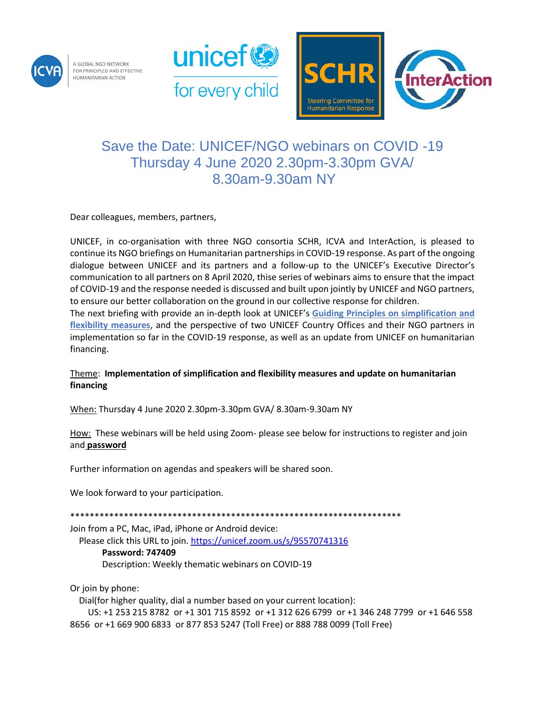

A GLOBAL NGO NETWORK FOR PRINCIPLED AND EFFECTIVE HUMANITARIAN ACTION





## Save the Date: UNICEF/NGO webinars on COVID -19 Thursday 4 June 2020 2.30pm-3.30pm GVA/ 8.30am-9.30am NY

Dear colleagues, members, partners,

UNICEF, in co-organisation with three NGO consortia SCHR, ICVA and InterAction, is pleased to continue its NGO briefings on Humanitarian partnerships in COVID-19 response. As part of the ongoing dialogue between UNICEF and its partners and a follow-up to the UNICEF's Executive Director's communication to all partners on 8 April 2020, thise series of webinars aims to ensure that the impact of COVID-19 and the response needed is discussed and built upon jointly by UNICEF and NGO partners, to ensure our better collaboration on the ground in our collective response for children.

The next briefing with provide an in-depth look at UNICEF's **[Guiding Principles on simplification](https://www.unicef.org/documents/unicef-and-civil-society-organizations-covid-19-guiding-principles) and [flexibility measures](https://www.unicef.org/documents/unicef-and-civil-society-organizations-covid-19-guiding-principles)**, and the perspective of two UNICEF Country Offices and their NGO partners in implementation so far in the COVID-19 response, as well as an update from UNICEF on humanitarian financing.

## Theme: **Implementation of simplification and flexibility measures and update on humanitarian financing**

When: Thursday 4 June 2020 2.30pm-3.30pm GVA/ 8.30am-9.30am NY

How: These webinars will be held using Zoom- please see below for instructions to register and join and **password**

Further information on agendas and speakers will be shared soon.

We look forward to your participation.

\*\*\*\*\*\*\*\*\*\*\*\*\*\*\*\*\*\*\*\*\*\*

Join from a PC, Mac, iPad, iPhone or Android device:

Please click this URL to join[. https://unicef.zoom.us/s/95570741316](https://unicef.zoom.us/s/95570741316) **Password: 747409** Description: Weekly thematic webinars on COVID-19

Or join by phone:

Dial(for higher quality, dial a number based on your current location):

 US: +1 253 215 8782 or +1 301 715 8592 or +1 312 626 6799 or +1 346 248 7799 or +1 646 558 8656 or +1 669 900 6833 or 877 853 5247 (Toll Free) or 888 788 0099 (Toll Free)